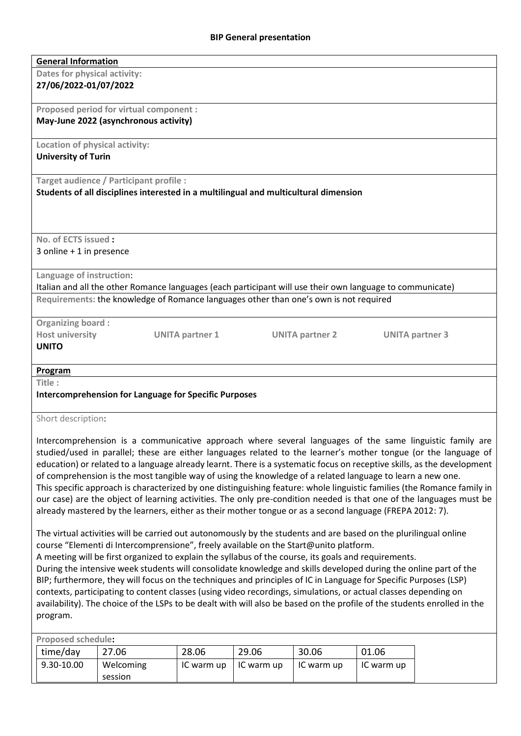| <b>General Information</b>                                                                                              |  |  |  |  |  |  |  |  |
|-------------------------------------------------------------------------------------------------------------------------|--|--|--|--|--|--|--|--|
| Dates for physical activity:                                                                                            |  |  |  |  |  |  |  |  |
| 27/06/2022-01/07/2022                                                                                                   |  |  |  |  |  |  |  |  |
|                                                                                                                         |  |  |  |  |  |  |  |  |
| Proposed period for virtual component :                                                                                 |  |  |  |  |  |  |  |  |
| May-June 2022 (asynchronous activity)                                                                                   |  |  |  |  |  |  |  |  |
|                                                                                                                         |  |  |  |  |  |  |  |  |
| Location of physical activity:                                                                                          |  |  |  |  |  |  |  |  |
| <b>University of Turin</b>                                                                                              |  |  |  |  |  |  |  |  |
|                                                                                                                         |  |  |  |  |  |  |  |  |
| Target audience / Participant profile :                                                                                 |  |  |  |  |  |  |  |  |
| Students of all disciplines interested in a multilingual and multicultural dimension                                    |  |  |  |  |  |  |  |  |
|                                                                                                                         |  |  |  |  |  |  |  |  |
|                                                                                                                         |  |  |  |  |  |  |  |  |
|                                                                                                                         |  |  |  |  |  |  |  |  |
| No. of ECTS issued:                                                                                                     |  |  |  |  |  |  |  |  |
| 3 online $+1$ in presence                                                                                               |  |  |  |  |  |  |  |  |
|                                                                                                                         |  |  |  |  |  |  |  |  |
| Language of instruction:                                                                                                |  |  |  |  |  |  |  |  |
| Italian and all the other Romance languages (each participant will use their own language to communicate)               |  |  |  |  |  |  |  |  |
| Requirements: the knowledge of Romance languages other than one's own is not required                                   |  |  |  |  |  |  |  |  |
|                                                                                                                         |  |  |  |  |  |  |  |  |
| <b>Organizing board:</b>                                                                                                |  |  |  |  |  |  |  |  |
| <b>Host university</b><br><b>UNITA partner 1</b><br><b>UNITA partner 2</b><br><b>UNITA partner 3</b>                    |  |  |  |  |  |  |  |  |
| <b>UNITO</b>                                                                                                            |  |  |  |  |  |  |  |  |
|                                                                                                                         |  |  |  |  |  |  |  |  |
| Program                                                                                                                 |  |  |  |  |  |  |  |  |
| Title:                                                                                                                  |  |  |  |  |  |  |  |  |
| <b>Intercomprehension for Language for Specific Purposes</b>                                                            |  |  |  |  |  |  |  |  |
|                                                                                                                         |  |  |  |  |  |  |  |  |
| Short description:                                                                                                      |  |  |  |  |  |  |  |  |
|                                                                                                                         |  |  |  |  |  |  |  |  |
| Intercomprehension is a communicative approach where several languages of the same linguistic family are                |  |  |  |  |  |  |  |  |
| studied/used in parallel; these are either languages related to the learner's mother tongue (or the language of         |  |  |  |  |  |  |  |  |
| education) or related to a language already learnt. There is a systematic focus on receptive skills, as the development |  |  |  |  |  |  |  |  |
| of comprehension is the most tangible way of using the knowledge of a related language to learn a new one.              |  |  |  |  |  |  |  |  |

This specific approach is characterized by one distinguishing feature: whole linguistic families (the Romance family in our case) are the object of learning activities. The only pre-condition needed is that one of the languages must be already mastered by the learners, either as their mother tongue or as a second language (FREPA 2012: 7).

The virtual activities will be carried out autonomously by the students and are based on the plurilingual online course "Elementi di Intercomprensione", freely available on the Start@unito platform.

A meeting will be first organized to explain the syllabus of the course, its goals and requirements.

During the intensive week students will consolidate knowledge and skills developed during the online part of the BIP; furthermore, they will focus on the techniques and principles of IC in Language for Specific Purposes (LSP) contexts, participating to content classes (using video recordings, simulations, or actual classes depending on availability). The choice of the LSPs to be dealt with will also be based on the profile of the students enrolled in the program.

| <b>Proposed schedule:</b> |            |           |            |            |            |            |  |  |
|---------------------------|------------|-----------|------------|------------|------------|------------|--|--|
|                           | time/day   | 27.06     | 28.06      | 29.06      | 30.06      | 01.06      |  |  |
|                           | 9.30-10.00 | Welcoming | IC warm up | IC warm up | IC warm up | IC warm up |  |  |
|                           |            | session   |            |            |            |            |  |  |